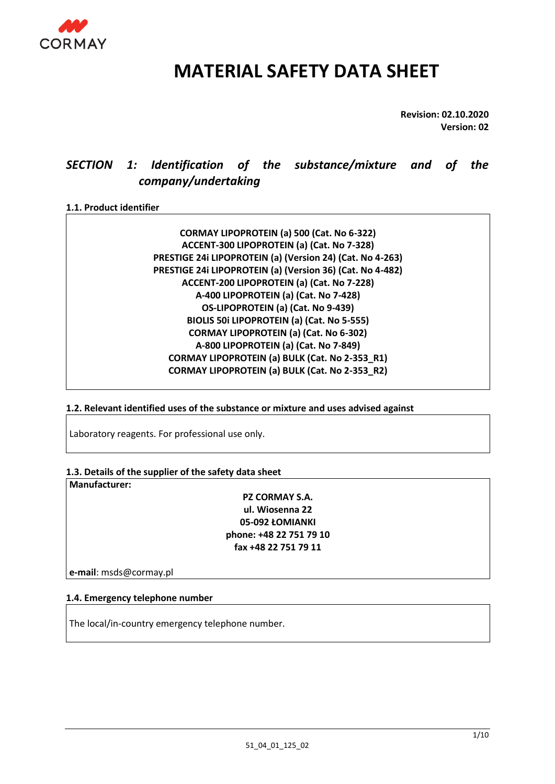

# **MATERIAL SAFETY DATA SHEET**

**Revision: 02.10.2020 Version: 02**

# *SECTION 1: Identification of the substance/mixture and of the company/undertaking*

#### **1.1. Product identifier**

**CORMAY LIPOPROTEIN (a) 500 (Cat. No 6-322) ACCENT-300 LIPOPROTEIN (a) (Cat. No 7-328) PRESTIGE 24i LIPOPROTEIN (a) (Version 24) (Cat. No 4-263) PRESTIGE 24i LIPOPROTEIN (a) (Version 36) (Cat. No 4-482) ACCENT-200 LIPOPROTEIN (a) (Cat. No 7-228) A-400 LIPOPROTEIN (a) (Cat. No 7-428) OS-LIPOPROTEIN (a) (Cat. No 9-439) BIOLIS 50i LIPOPROTEIN (a) (Cat. No 5-555) CORMAY LIPOPROTEIN (a) (Cat. No 6-302) A-800 LIPOPROTEIN (a) (Cat. No 7-849) CORMAY LIPOPROTEIN (a) BULK (Cat. No 2-353\_R1) CORMAY LIPOPROTEIN (a) BULK (Cat. No 2-353\_R2)**

**1.2. Relevant identified uses of the substance or mixture and uses advised against** 

Laboratory reagents. For professional use only.

**1.3. Details of the supplier of the safety data sheet** 

**Manufacturer:** 

**PZ CORMAY S.A. ul. Wiosenna 22 05-092 ŁOMIANKI phone: +48 22 751 79 10 fax +48 22 751 79 11**

**e-mail**: msds@cormay.pl

#### **1.4. Emergency telephone number**

The local/in-country emergency telephone number.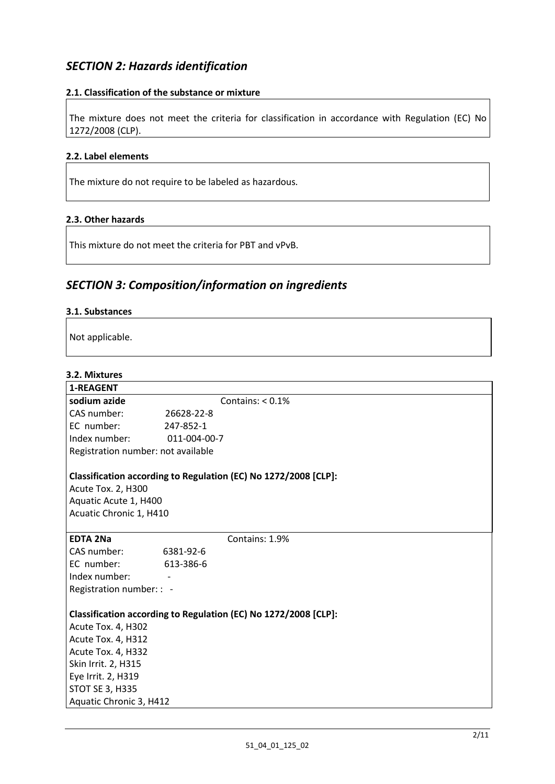# *SECTION 2: Hazards identification*

#### **2.1. Classification of the substance or mixture**

The mixture does not meet the criteria for classification in accordance with Regulation (EC) No 1272/2008 (CLP).

#### **2.2. Label elements**

The mixture do not require to be labeled as hazardous.

#### **2.3. Other hazards**

This mixture do not meet the criteria for PBT and vPvB.

# *SECTION 3: Composition/information on ingredients*

#### **3.1. Substances**

Not applicable.

### **3.2. Mixtures**

| J.Z. IVIIALUI CJ                                                              |                                                                 |
|-------------------------------------------------------------------------------|-----------------------------------------------------------------|
| 1-REAGENT                                                                     |                                                                 |
| sodium azide                                                                  | Contains: $< 0.1\%$                                             |
| CAS number:                                                                   | 26628-22-8                                                      |
| EC number:                                                                    | 247-852-1                                                       |
| Index number:                                                                 | 011-004-00-7                                                    |
| Registration number: not available                                            |                                                                 |
| <b>Acute Tox. 2, H300</b><br>Aquatic Acute 1, H400<br>Acuatic Chronic 1, H410 | Classification according to Regulation (EC) No 1272/2008 [CLP]: |
| <b>EDTA 2Na</b>                                                               | Contains: 1.9%                                                  |
| CAS number:                                                                   | 6381-92-6                                                       |
| EC number:                                                                    | 613-386-6                                                       |
| Index number:                                                                 |                                                                 |
| Registration number: : -                                                      |                                                                 |
|                                                                               |                                                                 |
| Acute Tox. 4, H302                                                            | Classification according to Regulation (EC) No 1272/2008 [CLP]: |
| Acute Tox. 4, H312                                                            |                                                                 |
| Acute Tox. 4, H332                                                            |                                                                 |
| Skin Irrit. 2, H315                                                           |                                                                 |
| Eye Irrit. 2, H319                                                            |                                                                 |
| <b>STOT SE 3, H335</b>                                                        |                                                                 |
| Aquatic Chronic 3, H412                                                       |                                                                 |
|                                                                               |                                                                 |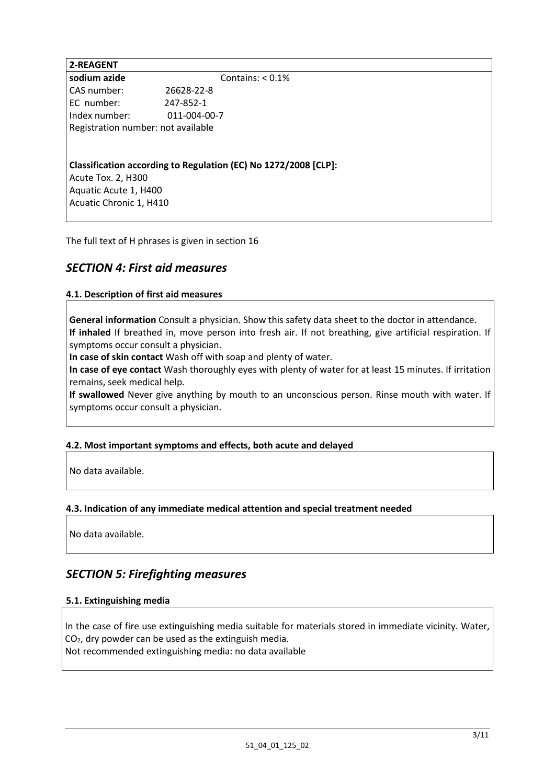**2-REAGENT sodium azide** Contains: <  $0.1\%$ CAS number: 26628-22-8 EC number: 247-852-1 Index number: 011-004-00-7 Registration number: not available

**Classification according to Regulation (EC) No 1272/2008 [CLP]:**

Acute Tox. 2, H300 Aquatic Acute 1, H400 Acuatic Chronic 1, H410

The full text of H phrases is given in section 16

# *SECTION 4: First aid measures*

#### **4.1. Description of first aid measures**

**General information** Consult a physician. Show this safety data sheet to the doctor in attendance. **If inhaled** If breathed in, move person into fresh air. If not breathing, give artificial respiration. If symptoms occur consult a physician.

**In case of skin contact** Wash off with soap and plenty of water.

**In case of eye contact** Wash thoroughly eyes with plenty of water for at least 15 minutes. If irritation remains, seek medical help.

**If swallowed** Never give anything by mouth to an unconscious person. Rinse mouth with water. If symptoms occur consult a physician.

#### **4.2. Most important symptoms and effects, both acute and delayed**

No data available.

#### **4.3. Indication of any immediate medical attention and special treatment needed**

No data available.

# *SECTION 5: Firefighting measures*

#### **5.1. Extinguishing media**

In the case of fire use extinguishing media suitable for materials stored in immediate vicinity. Water, CO2, dry powder can be used as the extinguish media. Not recommended extinguishing media: no data available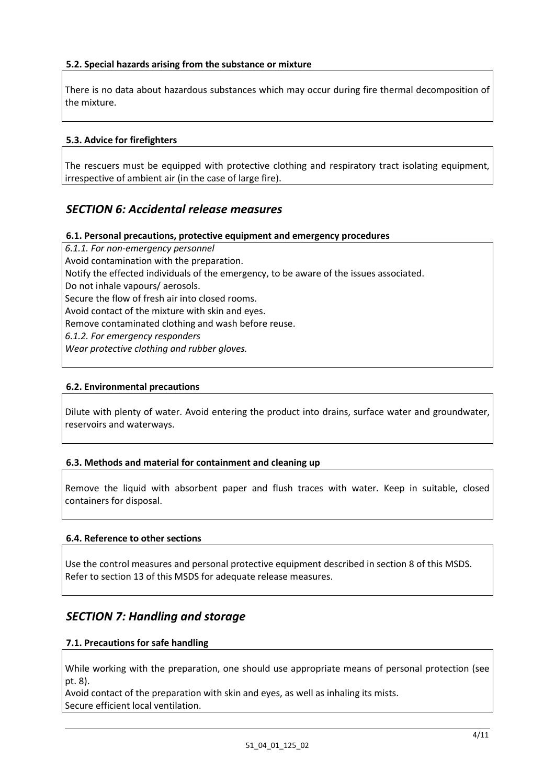#### **5.2. Special hazards arising from the substance or mixture**

There is no data about hazardous substances which may occur during fire thermal decomposition of the mixture.

#### **5.3. Advice for firefighters**

The rescuers must be equipped with protective clothing and respiratory tract isolating equipment, irrespective of ambient air (in the case of large fire).

### *SECTION 6: Accidental release measures*

#### **6.1. Personal precautions, protective equipment and emergency procedures**

*6.1.1. For non-emergency personnel*  Avoid contamination with the preparation. Notify the effected individuals of the emergency, to be aware of the issues associated. Do not inhale vapours/ aerosols. Secure the flow of fresh air into closed rooms. Avoid contact of the mixture with skin and eyes. Remove contaminated clothing and wash before reuse. *6.1.2. For emergency responders Wear protective clothing and rubber gloves.*

#### **6.2. Environmental precautions**

Dilute with plenty of water. Avoid entering the product into drains, surface water and groundwater, reservoirs and waterways.

#### **6.3. Methods and material for containment and cleaning up**

Remove the liquid with absorbent paper and flush traces with water. Keep in suitable, closed containers for disposal.

#### **6.4. Reference to other sections**

Use the control measures and personal protective equipment described in section 8 of this MSDS. Refer to section 13 of this MSDS for adequate release measures.

### *SECTION 7: Handling and storage*

#### **7.1. Precautions for safe handling**

While working with the preparation, one should use appropriate means of personal protection (see pt. 8).

Avoid contact of the preparation with skin and eyes, as well as inhaling its mists. Secure efficient local ventilation.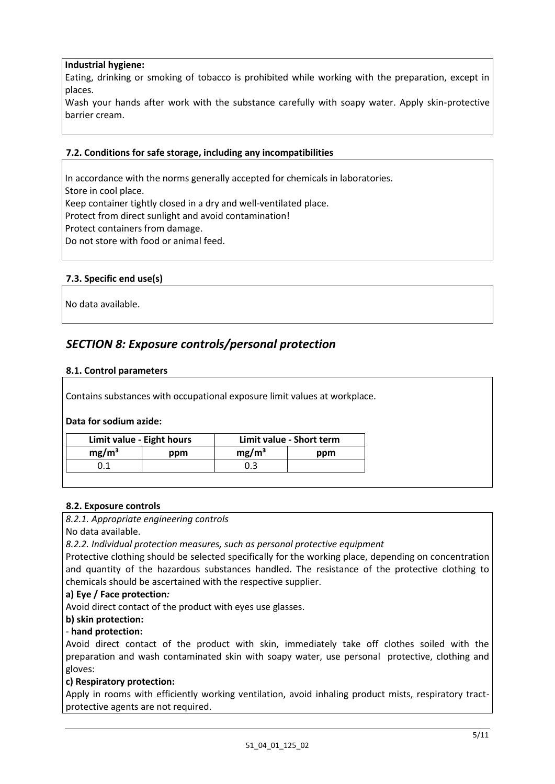#### **Industrial hygiene:**

Eating, drinking or smoking of tobacco is prohibited while working with the preparation, except in places.

Wash your hands after work with the substance carefully with soapy water. Apply skin-protective barrier cream.

#### **7.2. Conditions for safe storage, including any incompatibilities**

In accordance with the norms generally accepted for chemicals in laboratories. Store in cool place. Keep container tightly closed in a dry and well-ventilated place. Protect from direct sunlight and avoid contamination! Protect containers from damage. Do not store with food or animal feed.

#### **7.3. Specific end use(s)**

No data available.

# *SECTION 8: Exposure controls/personal protection*

#### **8.1. Control parameters**

Contains substances with occupational exposure limit values at workplace.

#### **Data for sodium azide:**

| Limit value - Eight hours |     | Limit value - Short term |     |
|---------------------------|-----|--------------------------|-----|
| mg/m <sup>3</sup>         | ppm | mg/m <sup>3</sup>        | ppm |
|                           |     |                          |     |

#### **8.2. Exposure controls**

*8.2.1. Appropriate engineering controls* 

No data available.

*8.2.2. Individual protection measures, such as personal protective equipment* 

Protective clothing should be selected specifically for the working place, depending on concentration and quantity of the hazardous substances handled. The resistance of the protective clothing to chemicals should be ascertained with the respective supplier.

#### **a) Eye / Face protection***:*

Avoid direct contact of the product with eyes use glasses.

**b) skin protection:**

#### *-* **hand protection:**

Avoid direct contact of the product with skin, immediately take off clothes soiled with the preparation and wash contaminated skin with soapy water, use personal protective, clothing and gloves:

#### **c) Respiratory protection:**

Apply in rooms with efficiently working ventilation, avoid inhaling product mists, respiratory tractprotective agents are not required.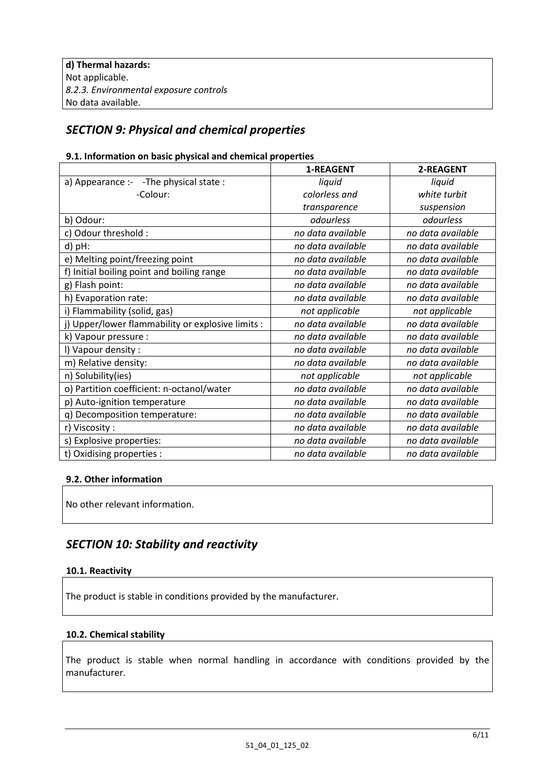# *SECTION 9: Physical and chemical properties*

#### **9.1. Information on basic physical and chemical properties**

|                                                   | 1-REAGENT         | 2-REAGENT         |
|---------------------------------------------------|-------------------|-------------------|
| a) Appearance :- -The physical state :            | liquid            | liquid            |
| -Colour:                                          | colorless and     | white turbit      |
|                                                   | transparence      | suspension        |
| b) Odour:                                         | odourless         | odourless         |
| c) Odour threshold :                              | no data available | no data available |
| d) pH:                                            | no data available | no data available |
| e) Melting point/freezing point                   | no data available | no data available |
| f) Initial boiling point and boiling range        | no data available | no data available |
| g) Flash point:                                   | no data available | no data available |
| h) Evaporation rate:                              | no data available | no data available |
| i) Flammability (solid, gas)                      | not applicable    | not applicable    |
| j) Upper/lower flammability or explosive limits : | no data available | no data available |
| k) Vapour pressure :                              | no data available | no data available |
| I) Vapour density :                               | no data available | no data available |
| m) Relative density:                              | no data available | no data available |
| n) Solubility(ies)                                | not applicable    | not applicable    |
| o) Partition coefficient: n-octanol/water         | no data available | no data available |
| p) Auto-ignition temperature                      | no data available | no data available |
| q) Decomposition temperature:                     | no data available | no data available |
| r) Viscosity:                                     | no data available | no data available |
| s) Explosive properties:                          | no data available | no data available |
| t) Oxidising properties :                         | no data available | no data available |

#### **9.2. Other information**

No other relevant information.

# *SECTION 10: Stability and reactivity*

#### **10.1. Reactivity**

The product is stable in conditions provided by the manufacturer.

#### **10.2. Chemical stability**

The product is stable when normal handling in accordance with conditions provided by the manufacturer.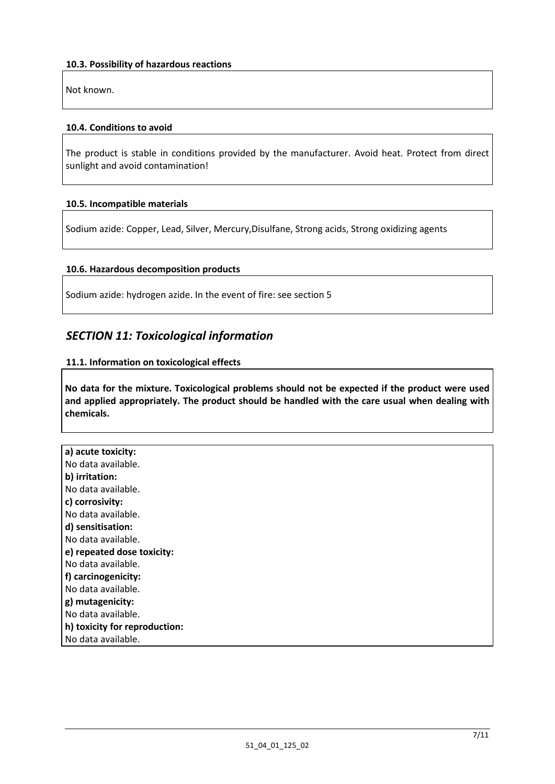Not known.

#### **10.4. Conditions to avoid**

The product is stable in conditions provided by the manufacturer. Avoid heat. Protect from direct sunlight and avoid contamination!

#### **10.5. Incompatible materials**

Sodium azide: Copper, Lead, Silver, Mercury,Disulfane, Strong acids, Strong oxidizing agents

#### **10.6. Hazardous decomposition products**

Sodium azide: hydrogen azide. In the event of fire: see section 5

# *SECTION 11: Toxicological information*

#### **11.1. Information on toxicological effects**

**No data for the mixture. Toxicological problems should not be expected if the product were used and applied appropriately. The product should be handled with the care usual when dealing with chemicals.** 

| a) acute toxicity:            |
|-------------------------------|
| No data available.            |
| b) irritation:                |
| No data available.            |
| c) corrosivity:               |
| No data available.            |
| d) sensitisation:             |
| No data available.            |
| e) repeated dose toxicity:    |
| No data available.            |
| f) carcinogenicity:           |
| No data available.            |
| g) mutagenicity:              |
| No data available.            |
| h) toxicity for reproduction: |
| No data available.            |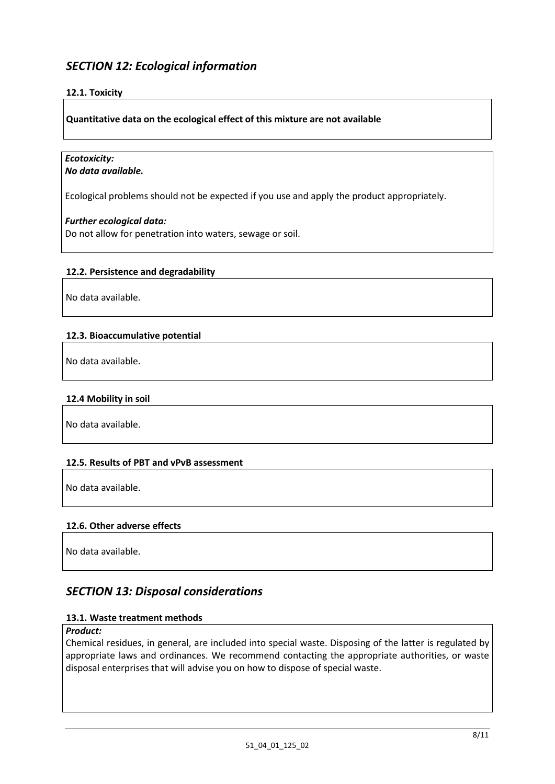# *SECTION 12: Ecological information*

#### **12.1. Toxicity**

**Quantitative data on the ecological effect of this mixture are not available** 

#### *Ecotoxicity: No data available.*

Ecological problems should not be expected if you use and apply the product appropriately.

#### *Further ecological data:*

Do not allow for penetration into waters, sewage or soil.

#### **12.2. Persistence and degradability**

No data available.

#### **12.3. Bioaccumulative potential**

No data available.

#### **12.4 Mobility in soil**

No data available.

#### **12.5. Results of PBT and vPvB assessment**

No data available.

#### **12.6. Other adverse effects**

No data available.

### *SECTION 13: Disposal considerations*

#### **13.1. Waste treatment methods**

#### *Product:*

Chemical residues, in general, are included into special waste. Disposing of the latter is regulated by appropriate laws and ordinances. We recommend contacting the appropriate authorities, or waste disposal enterprises that will advise you on how to dispose of special waste.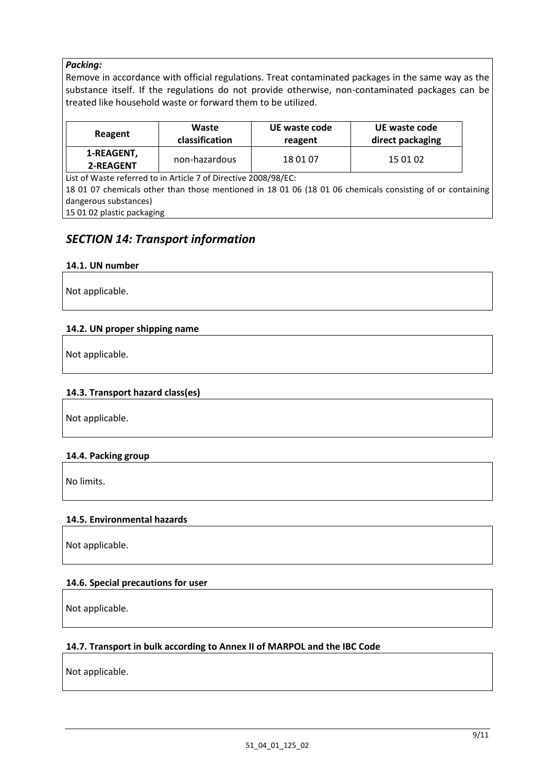#### *Packing:*

Remove in accordance with official regulations. Treat contaminated packages in the same way as the substance itself. If the regulations do not provide otherwise, non-contaminated packages can be treated like household waste or forward them to be utilized.

| Reagent                 | Waste          | UE waste code | UE waste code    |
|-------------------------|----------------|---------------|------------------|
|                         | classification | reagent       | direct packaging |
| 1-REAGENT,<br>2-REAGENT | non-hazardous  | 18 01 07      | 15 01 02         |

List of Waste referred to in Article 7 of Directive 2008/98/EC:

18 01 07 chemicals other than those mentioned in 18 01 06 (18 01 06 chemicals consisting of or containing dangerous substances)

15 01 02 plastic packaging

# *SECTION 14: Transport information*

#### **14.1. UN number**

Not applicable.

#### **14.2. UN proper shipping name**

Not applicable.

#### **14.3. Transport hazard class(es)**

Not applicable.

#### **14.4. Packing group**

No limits.

#### **14.5. Environmental hazards**

Not applicable.

#### **14.6. Special precautions for user**

Not applicable.

#### **14.7. Transport in bulk according to Annex II of MARPOL and the IBC Code**

Not applicable.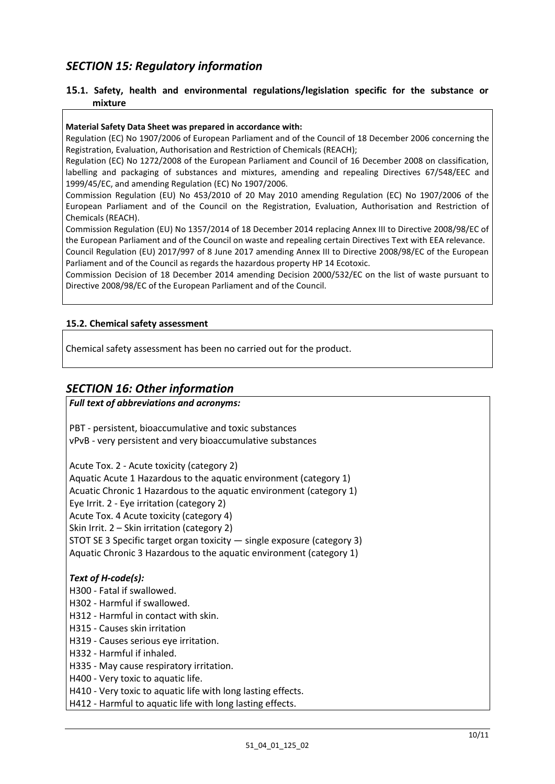# *SECTION 15: Regulatory information*

#### **15.1. Safety, health and environmental regulations/legislation specific for the substance or mixture**

#### **Material Safety Data Sheet was prepared in accordance with:**

Regulation (EC) No 1907/2006 of European Parliament and of the Council of 18 December 2006 concerning the Registration, Evaluation, Authorisation and Restriction of Chemicals (REACH);

Regulation (EC) No 1272/2008 of the European Parliament and Council of 16 December 2008 on classification, labelling and packaging of substances and mixtures, amending and repealing Directives 67/548/EEC and 1999/45/EC, and amending Regulation (EC) No 1907/2006.

Commission Regulation (EU) No 453/2010 of 20 May 2010 amending Regulation (EC) No 1907/2006 of the European Parliament and of the Council on the Registration, Evaluation, Authorisation and Restriction of Chemicals (REACH).

Commission Regulation (EU) No 1357/2014 of 18 December 2014 replacing Annex III to Directive 2008/98/EC of the European Parliament and of the Council on waste and repealing certain Directives Text with EEA relevance. Council Regulation (EU) 2017/997 of 8 June 2017 amending Annex III to Directive 2008/98/EC of the European Parliament and of the Council as regards the hazardous property HP 14 Ecotoxic.

Commission Decision of 18 December 2014 amending Decision 2000/532/EC on the list of waste pursuant to Directive 2008/98/EC of the European Parliament and of the Council.

#### **15.2. Chemical safety assessment**

Chemical safety assessment has been no carried out for the product.

#### *SECTION 16: Other information*

# *Full text of abbreviations and acronyms:* PBT - persistent, bioaccumulative and toxic substances vPvB - very persistent and very bioaccumulative substances Acute Tox. 2 - Acute toxicity (category 2) Aquatic Acute 1 Hazardous to the aquatic environment (category 1) Acuatic Chronic 1 Hazardous to the aquatic environment (category 1) Eye Irrit. 2 - Eye irritation (category 2) Acute Tox. 4 Acute toxicity (category 4) Skin Irrit. 2 – Skin irritation (category 2) STOT SE 3 Specific target organ toxicity — single exposure (category 3) Aquatic Chronic 3 Hazardous to the aquatic environment (category 1) *Text of H-code(s):* H300 - Fatal if swallowed. H302 - Harmful if swallowed. H312 - Harmful in contact with skin. H315 - Causes skin irritation H319 - Causes serious eye irritation. H332 - Harmful if inhaled. H335 - May cause respiratory irritation. H400 - Very toxic to aquatic life. H410 - Very toxic to aquatic life with long lasting effects.

H412 - Harmful to aquatic life with long lasting effects.